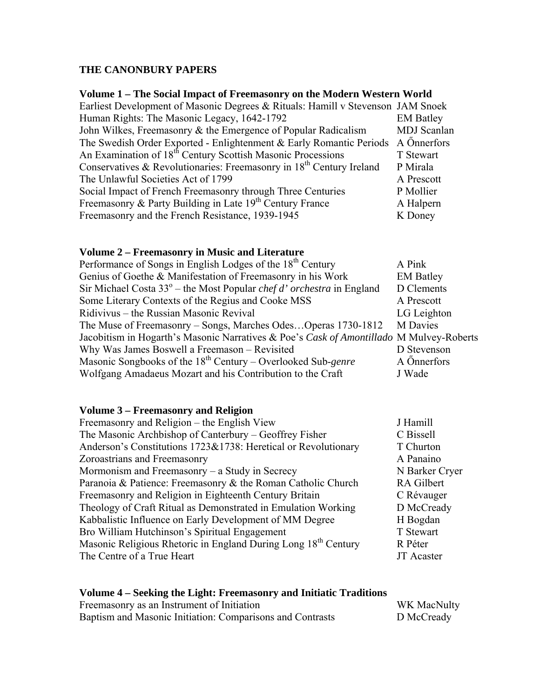## THE CANONBURY PAPERS

## Volume 1 - The Social Impact of Freemasonry on the Modern Western World

| Earliest Development of Masonic Degrees & Rituals: Hamill v Stevenson JAM Snoek |                    |
|---------------------------------------------------------------------------------|--------------------|
| Human Rights: The Masonic Legacy, 1642-1792                                     | <b>EM Batley</b>   |
| John Wilkes, Freemasonry & the Emergence of Popular Radicalism                  | <b>MDJ</b> Scanlan |
| The Swedish Order Exported - Enlightenment & Early Romantic Periods A Önnerfors |                    |
| An Examination of 18 <sup>th</sup> Century Scottish Masonic Processions         | T Stewart          |
| Conservatives & Revolutionaries: Freemasonry in $18th$ Century Ireland          | P Mirala           |
| The Unlawful Societies Act of 1799                                              | A Prescott         |
| Social Impact of French Freemasonry through Three Centuries                     | P Mollier          |
| Freemasonry & Party Building in Late 19 <sup>th</sup> Century France            | A Halpern          |
| Freemasonry and the French Resistance, 1939-1945                                | K Doney            |

#### Volume 2 - Freemasonry in Music and Literature

| Performance of Songs in English Lodges of the 18 <sup>th</sup> Century                  | A Pink           |
|-----------------------------------------------------------------------------------------|------------------|
| Genius of Goethe & Manifestation of Freemasonry in his Work                             | <b>EM Batley</b> |
| Sir Michael Costa $33^\circ$ – the Most Popular <i>chef d'orchestra</i> in England      | D Clements       |
| Some Literary Contexts of the Regius and Cooke MSS                                      | A Prescott       |
| Ridivivus – the Russian Masonic Revival                                                 | LG Leighton      |
| The Muse of Freemasonry – Songs, Marches OdesOperas 1730-1812                           | <b>M</b> Davies  |
| Jacobitism in Hogarth's Masonic Narratives & Poe's Cask of Amontillado M Mulvey-Roberts |                  |
| Why Was James Boswell a Freemason - Revisited                                           | D Stevenson      |
| Masonic Songbooks of the $18^{th}$ Century – Overlooked Sub-genre                       | A Önnerfors      |
| Wolfgang Amadaeus Mozart and his Contribution to the Craft                              | J Wade           |

#### **Volume 3 - Freemasonry and Religion**

| J Hamill          |
|-------------------|
| C Bissell         |
| T Churton         |
| A Panaino         |
| N Barker Cryer    |
| RA Gilbert        |
| C Révauger        |
| D McCready        |
| H Bogdan          |
| T Stewart         |
| R Péter           |
| <b>JT</b> Acaster |
|                   |

# Volume  $4$  – Seeking the Light: Freemasonry and Initiatic Traditions<br>Freemasonry as an Instrument of Initiation

| Freemasonry as an Instrument of Initiation                | WK MacNulty |
|-----------------------------------------------------------|-------------|
| Baptism and Masonic Initiation: Comparisons and Contrasts | D McCready  |